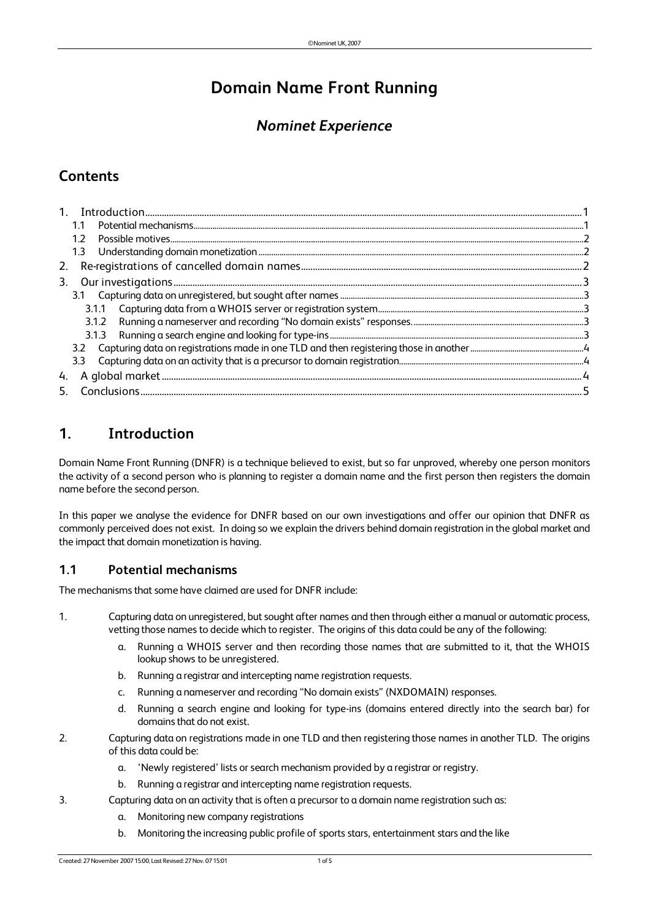# **Domain Name Front Running**

## *Nominet Experience*

### **Contents**

|    | 1.2 <sub>2</sub> |  |
|----|------------------|--|
|    | 1.3              |  |
| 2. |                  |  |
|    |                  |  |
|    |                  |  |
|    |                  |  |
|    |                  |  |
|    |                  |  |
|    |                  |  |
|    |                  |  |
|    |                  |  |
|    |                  |  |

## **1. Introduction**

Domain Name Front Running (DNFR) is a technique believed to exist, but so far unproved, whereby one person monitors the activity of a second person who is planning to register a domain name and the first person then registers the domain name before the second person.

In this paper we analyse the evidence for DNFR based on our own investigations and offer our opinion that DNFR as commonly perceived does not exist. In doing so we explain the drivers behind domain registration in the global market and the impact that domain monetization is having.

### **1.1 Potential mechanisms**

The mechanisms that some have claimed are used for DNFR include:

- 1. Capturing data on unregistered, butsought after names and then through either a manual or automatic process, vetting those names to decide which to register. The origins of this data could be any of the following:
	- a. Running a WHOIS server and then recording those names that are submitted to it, that the WHOIS lookup shows to be unregistered.
	- b. Running a registrar and intercepting name registration requests.
	- c. Running a nameserver and recording "No domain exists" (NXDOMAIN) responses.
	- d. Running a search engine and looking for type-ins (domains entered directly into the search bar) for domains that do not exist.
- 2. Capturing data on registrations made in one TLD and then registering those names in another TLD. The origins of this data could be:
	- a. 'Newly registered' lists or search mechanism provided by a registrar or registry.
	- b. Running a registrar and intercepting name registration requests.
- 3. Capturing data on an activity that is often a precursor to a domain name registration such as:
	- a. Monitoring new company registrations
	- b. Monitoring the increasing public profile of sports stars, entertainment stars and the like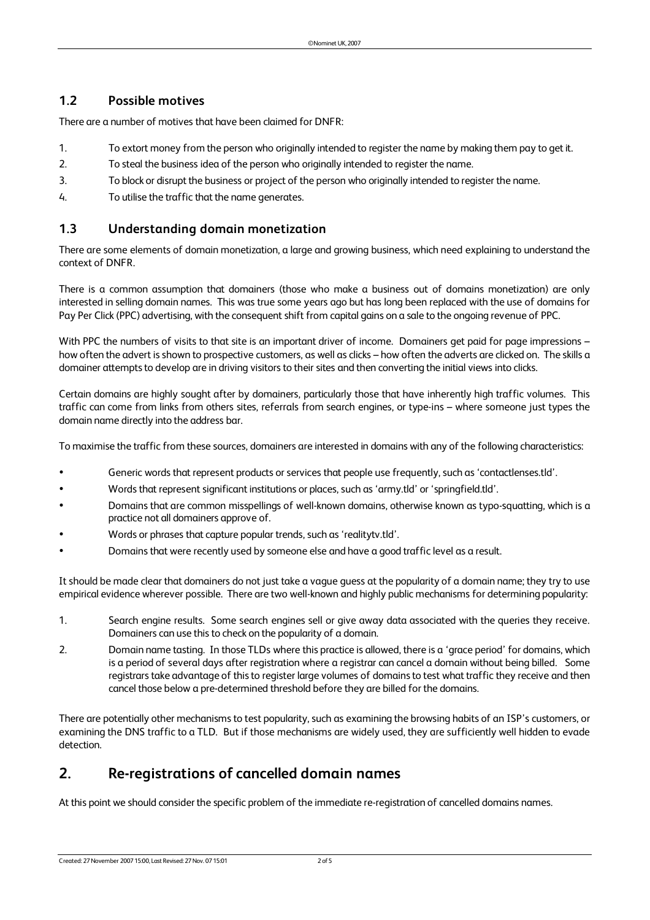#### **1.2 Possible motives**

There are a number of motives that have been claimed for DNFR:

- 1. To extort money from the person who originally intended to register the name by making them pay to getit.
- 2. To steal the business idea of the person who originally intended to register the name.
- 3. To block or disrupt the business or project of the person who originally intended to register the name.
- 4. To utilise the traffic that the name generates.

#### **1.3 Understanding domain monetization**

There are some elements of domain monetization, a large and growing business, which need explaining to understand the context of DNFR.

There is a common assumption that domainers (those who make a business out of domains monetization) are only interested in selling domain names. This was true some years ago but has long been replaced with the use of domains for Pay Per Click (PPC) advertising, with the consequent shift from capital gains on a sale to the ongoing revenue of PPC.

With PPC the numbers of visits to that site is an important driver of income. Domainers get paid for page impressions – how often the advert is shown to prospective customers, as well as clicks – how often the adverts are clicked on. The skills a domainer attempts to develop are in driving visitors to their sites and then converting the initial views into clicks.

Certain domains are highly sought after by domainers, particularly those that have inherently high traffic volumes. This traffic can come from links from others sites, referrals from search engines, or type-ins – where someone just types the domain name directly into the address bar.

To maximise the traffic from these sources, domainers are interested in domains with any of the following characteristics:

- Generic words that represent products or services that people use frequently, such as 'contactlenses.tld'.
- Words that represent significant institutions or places, such as 'army.tld' or 'springfield.tld'.
- Domains that are common misspellings of well-known domains, otherwise known as typo-squatting, which is a practice not all domainers approve of.
- Words or phrases that capture popular trends, such as'realitytv.tld'.
- Domains that were recently used by someone else and have a good traffic level as a result.

It should be made clear that domainers do not just take a vague guess at the popularity of a domain name; they try to use empirical evidence wherever possible. There are two well-known and highly public mechanisms for determining popularity:

- 1. Search engine results. Some search engines sell or give away data associated with the queries they receive. Domainers can use this to check on the popularity of a domain.
- 2. Domain name tasting. In those TLDs where this practice is allowed, there is a 'grace period' for domains, which is a period of several days after registration where a registrar can cancel a domain without being billed. Some registrars take advantage of this to register large volumes of domains to test what traffic they receive and then cancel those below a pre-determined threshold before they are billed for the domains.

There are potentially other mechanisms to test popularity, such as examining the browsing habits of an ISP's customers, or examining the DNS traffic to a TLD. But if those mechanisms are widely used, they are sufficiently well hidden to evade detection.

### **2. Re-registrations of cancelled domain names**

At this point we should consider the specific problem of the immediate re-registration of cancelled domains names.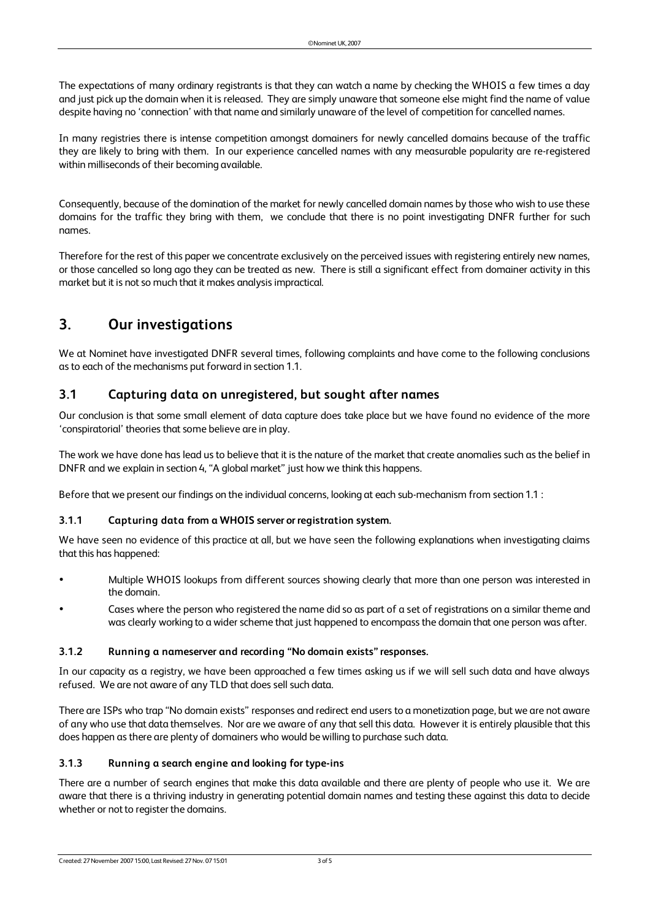The expectations of many ordinary registrants is that they can watch a name by checking the WHOIS a few times a day and just pick up the domain when it is released. They are simply unaware that someone else might find the name of value despite having no 'connection' with that name and similarly unaware of the level of competition for cancelled names.

In many registries there is intense competition amongst domainers for newly cancelled domains because of the traffic they are likely to bring with them. In our experience cancelled names with any measurable popularity are re-registered within milliseconds of their becoming available.

Consequently, because of the domination of the market for newly cancelled domain names by those who wish to use these domains for the traffic they bring with them, we conclude that there is no point investigating DNFR further for such names.

Therefore for the rest of this paper we concentrate exclusively on the perceived issues with registering entirely new names, or those cancelled so long ago they can be treated as new. There is still a significant effect from domainer activity in this market but it is not so much that it makes analysis impractical.

## **3. Our investigations**

We at Nominet have investigated DNFR several times, following complaints and have come to the following conclusions asto each of the mechanisms put forward in section 1.1.

#### **3.1 Capturing data on unregistered, but sought after names**

Our conclusion is that some small element of data capture does take place but we have found no evidence of the more 'conspiratorial' theories that some believe are in play.

The work we have done has lead us to believe that it is the nature of the market that create anomalies such as the belief in DNFR and we explain in section 4, "A global market" just how we think this happens.

Before that we present our findings on the individual concerns, looking at each sub-mechanism from section 1.1 :

#### **3.1.1 Capturing data from a WHOIS server orregistration system.**

We have seen no evidence of this practice at all, but we have seen the following explanations when investigating claims that this has happened:

- Multiple WHOIS lookups from different sources showing clearly that more than one person was interested in the domain.
- Cases where the person who registered the name did so as part of a set of registrations on a similar theme and was clearly working to a wider scheme that just happened to encompass the domain that one person was after.

#### **3.1.2 Running a nameserver and recording "No domain exists" responses.**

In our capacity as a registry, we have been approached a few times asking us if we will sell such data and have always refused. We are not aware of any TLD that does sell such data.

There are ISPs who trap "No domain exists" responses and redirect end users to a monetization page, but we are not aware of any who use that data themselves. Nor are we aware of any thatsell this data. However it is entirely plausible that this does happen as there are plenty of domainers who would be willing to purchase such data.

#### **3.1.3 Running a search engine and looking for type-ins**

There are a number of search engines that make this data available and there are plenty of people who use it. We are aware that there is a thriving industry in generating potential domain names and testing these against this data to decide whether or not to register the domains.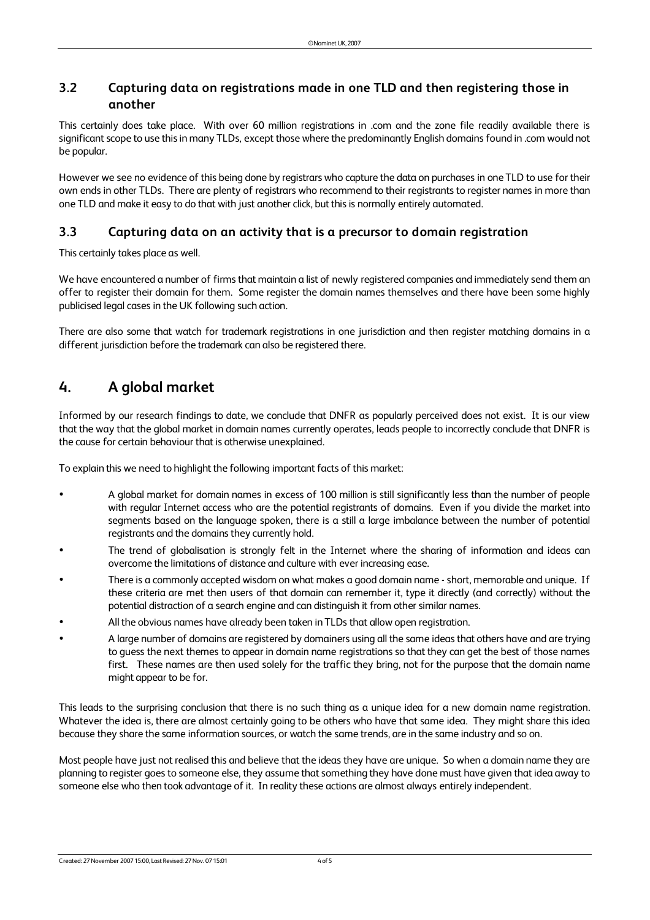### **3.2 Capturing data on registrations made in one TLD and then registering those in another**

This certainly does take place. With over 60 million registrations in .com and the zone file readily available there is significant scope to use this in many TLDs, except those where the predominantly English domains found in .com would not be popular.

However we see no evidence of this being done by registrars who capture the data on purchases in one TLD to use for their own ends in other TLDs. There are plenty of registrars who recommend to their registrants to register names in more than one TLD and make it easy to do that with just another click, but this is normally entirely automated.

### **3.3 Capturing data on an activity that is a precursor to domain registration**

This certainly takes place as well.

We have encountered a number of firms that maintain a list of newly registered companies and immediately send them an offer to register their domain for them. Some register the domain names themselves and there have been some highly publicised legal cases in the UK following such action.

There are also some that watch for trademark registrations in one jurisdiction and then register matching domains in a different jurisdiction before the trademark can also be registered there.

### **4. A global market**

Informed by our research findings to date, we conclude that DNFR as popularly perceived does not exist. It is our view that the way that the global market in domain names currently operates, leads people to incorrectly conclude that DNFR is the cause for certain behaviour that is otherwise unexplained.

To explain this we need to highlight the following important facts of this market:

- A global market for domain names in excess of 100 million is still significantly less than the number of people with regular Internet access who are the potential registrants of domains. Even if you divide the market into segments based on the language spoken, there is a still a large imbalance between the number of potential registrants and the domains they currently hold.
- The trend of globalisation is strongly felt in the Internet where the sharing of information and ideas can overcome the limitations of distance and culture with ever increasing ease.
- There is a commonly accepted wisdom on what makes a good domain name short, memorable and unique. If these criteria are met then users of that domain can remember it, type it directly (and correctly) without the potential distraction of a search engine and can distinguish it from other similar names.
- All the obvious names have already been taken in TLDs that allow open registration.
- A large number of domains are registered by domainers using all the same ideasthat others have and are trying to guess the next themes to appear in domain name registrations so that they can get the best of those names first. These names are then used solely for the traffic they bring, not for the purpose that the domain name might appear to be for.

This leads to the surprising conclusion that there is no such thing as a unique idea for a new domain name registration. Whatever the idea is, there are almost certainly going to be others who have that same idea. They might share this idea because they share the same information sources, or watch the same trends, are in the same industry and so on.

Most people have just not realised this and believe that the ideas they have are unique. So when a domain name they are planning to register goes to someone else, they assume that something they have done must have given that idea away to someone else who then took advantage of it. In reality these actions are almost always entirely independent.